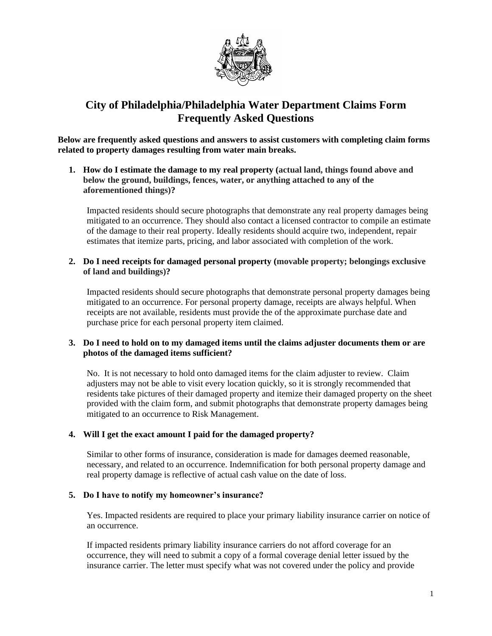

# **City of Philadelphia/Philadelphia Water Department Claims Form Frequently Asked Questions**

**Below are frequently asked questions and answers to assist customers with completing claim forms related to property damages resulting from water main breaks.**

**1. How do I estimate the damage to my real property (actual land, things found above and below the ground, buildings, fences, water, or anything attached to any of the aforementioned things)?** 

Impacted residents should secure photographs that demonstrate any real property damages being mitigated to an occurrence. They should also contact a licensed contractor to compile an estimate of the damage to their real property. Ideally residents should acquire two, independent, repair estimates that itemize parts, pricing, and labor associated with completion of the work.

**2. Do I need receipts for damaged personal property (movable property; belongings exclusive of land and buildings)?**

Impacted residents should secure photographs that demonstrate personal property damages being mitigated to an occurrence. For personal property damage, receipts are always helpful. When receipts are not available, residents must provide the of the approximate purchase date and purchase price for each personal property item claimed.

# **3. Do I need to hold on to my damaged items until the claims adjuster documents them or are photos of the damaged items sufficient?**

No. It is not necessary to hold onto damaged items for the claim adjuster to review. Claim adjusters may not be able to visit every location quickly, so it is strongly recommended that residents take pictures of their damaged property and itemize their damaged property on the sheet provided with the claim form, and submit photographs that demonstrate property damages being mitigated to an occurrence to Risk Management.

# **4. Will I get the exact amount I paid for the damaged property?**

Similar to other forms of insurance, consideration is made for damages deemed reasonable, necessary, and related to an occurrence. Indemnification for both personal property damage and real property damage is reflective of actual cash value on the date of loss.

# **5. Do I have to notify my homeowner's insurance?**

Yes. Impacted residents are required to place your primary liability insurance carrier on notice of an occurrence.

If impacted residents primary liability insurance carriers do not afford coverage for an occurrence, they will need to submit a copy of a formal coverage denial letter issued by the insurance carrier. The letter must specify what was not covered under the policy and provide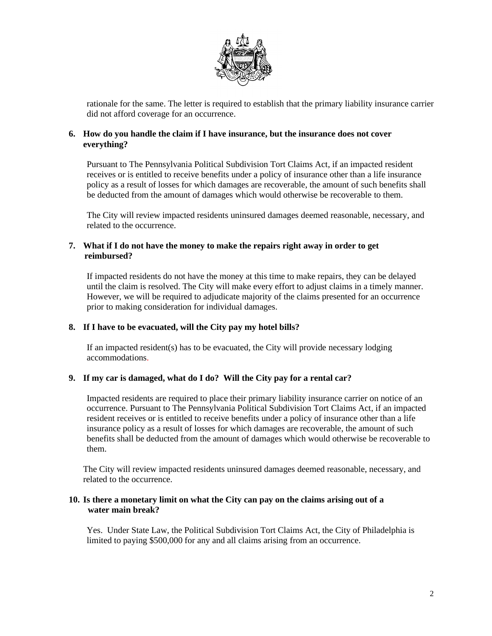

rationale for the same. The letter is required to establish that the primary liability insurance carrier did not afford coverage for an occurrence.

# **6. How do you handle the claim if I have insurance, but the insurance does not cover everything?**

Pursuant to The Pennsylvania Political Subdivision Tort Claims Act, if an impacted resident receives or is entitled to receive benefits under a policy of insurance other than a life insurance policy as a result of losses for which damages are recoverable, the amount of such benefits shall be deducted from the amount of damages which would otherwise be recoverable to them.

The City will review impacted residents uninsured damages deemed reasonable, necessary, and related to the occurrence.

# **7. What if I do not have the money to make the repairs right away in order to get reimbursed?**

If impacted residents do not have the money at this time to make repairs, they can be delayed until the claim is resolved. The City will make every effort to adjust claims in a timely manner. However, we will be required to adjudicate majority of the claims presented for an occurrence prior to making consideration for individual damages.

# **8. If I have to be evacuated, will the City pay my hotel bills?**

If an impacted resident(s) has to be evacuated, the City will provide necessary lodging accommodations.

# **9. If my car is damaged, what do I do? Will the City pay for a rental car?**

Impacted residents are required to place their primary liability insurance carrier on notice of an occurrence. Pursuant to The Pennsylvania Political Subdivision Tort Claims Act, if an impacted resident receives or is entitled to receive benefits under a policy of insurance other than a life insurance policy as a result of losses for which damages are recoverable, the amount of such benefits shall be deducted from the amount of damages which would otherwise be recoverable to them.

The City will review impacted residents uninsured damages deemed reasonable, necessary, and related to the occurrence.

#### **10. Is there a monetary limit on what the City can pay on the claims arising out of a water main break?**

Yes. Under State Law, the Political Subdivision Tort Claims Act, the City of Philadelphia is limited to paying \$500,000 for any and all claims arising from an occurrence.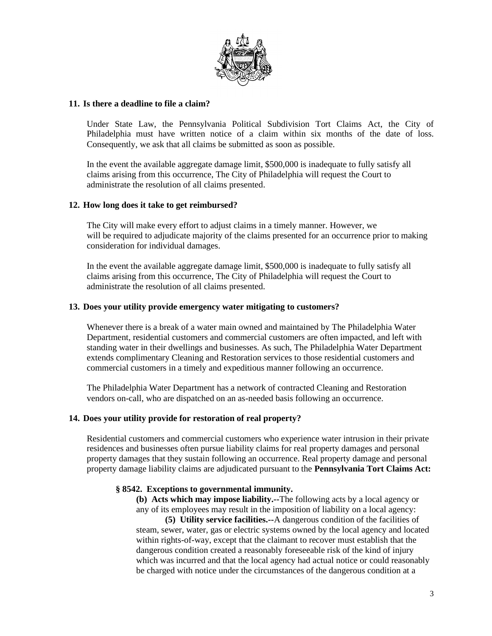

# **11. Is there a deadline to file a claim?**

Under State Law, the Pennsylvania Political Subdivision Tort Claims Act, the City of Philadelphia must have written notice of a claim within six months of the date of loss. Consequently, we ask that all claims be submitted as soon as possible.

In the event the available aggregate damage limit, \$500,000 is inadequate to fully satisfy all claims arising from this occurrence, The City of Philadelphia will request the Court to administrate the resolution of all claims presented.

#### **12. How long does it take to get reimbursed?**

The City will make every effort to adjust claims in a timely manner. However, we will be required to adjudicate majority of the claims presented for an occurrence prior to making consideration for individual damages.

In the event the available aggregate damage limit, \$500,000 is inadequate to fully satisfy all claims arising from this occurrence, The City of Philadelphia will request the Court to administrate the resolution of all claims presented.

#### **13. Does your utility provide emergency water mitigating to customers?**

Whenever there is a break of a water main owned and maintained by The Philadelphia Water Department, residential customers and commercial customers are often impacted, and left with standing water in their dwellings and businesses. As such, The Philadelphia Water Department extends complimentary Cleaning and Restoration services to those residential customers and commercial customers in a timely and expeditious manner following an occurrence.

The Philadelphia Water Department has a network of contracted Cleaning and Restoration vendors on-call, who are dispatched on an as-needed basis following an occurrence.

#### **14. Does your utility provide for restoration of real property?**

Residential customers and commercial customers who experience water intrusion in their private residences and businesses often pursue liability claims for real property damages and personal property damages that they sustain following an occurrence. Real property damage and personal property damage liability claims are adjudicated pursuant to the **Pennsylvania Tort Claims Act:**

#### **§ 8542. Exceptions to governmental immunity.**

**(b) Acts which may impose liability.--**The following acts by a local agency or any of its employees may result in the imposition of liability on a local agency: **(5) Utility service facilities.--**A dangerous condition of the facilities of steam, sewer, water, gas or electric systems owned by the local agency and located within rights-of-way, except that the claimant to recover must establish that the dangerous condition created a reasonably foreseeable risk of the kind of injury which was incurred and that the local agency had actual notice or could reasonably be charged with notice under the circumstances of the dangerous condition at a